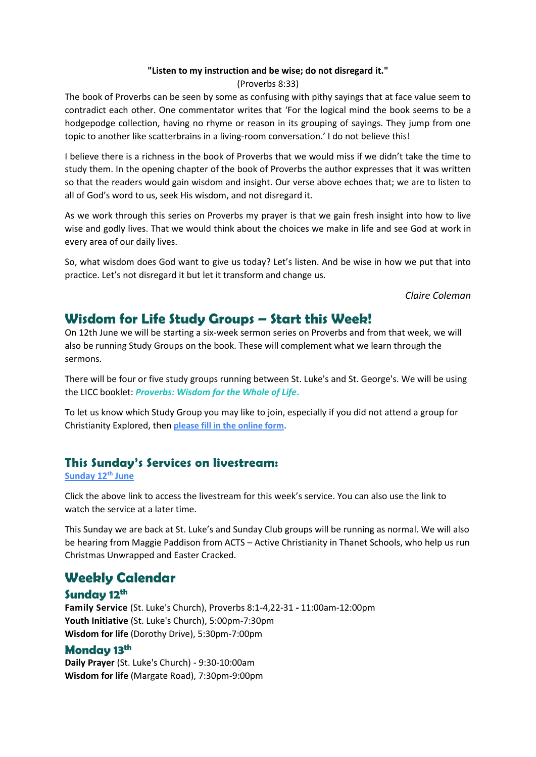#### **"Listen to my instruction and be wise; do not disregard it."**

(Proverbs 8:33)

The book of Proverbs can be seen by some as confusing with pithy sayings that at face value seem to contradict each other. One commentator writes that 'For the logical mind the book seems to be a hodgepodge collection, having no rhyme or reason in its grouping of sayings. They jump from one topic to another like scatterbrains in a living-room conversation.' I do not believe this!

I believe there is a richness in the book of Proverbs that we would miss if we didn't take the time to study them. In the opening chapter of the book of Proverbs the author expresses that it was written so that the readers would gain wisdom and insight. Our verse above echoes that; we are to listen to all of God's word to us, seek His wisdom, and not disregard it.

As we work through this series on Proverbs my prayer is that we gain fresh insight into how to live wise and godly lives. That we would think about the choices we make in life and see God at work in every area of our daily lives.

So, what wisdom does God want to give us today? Let's listen. And be wise in how we put that into practice. Let's not disregard it but let it transform and change us.

*Claire Coleman*

## **Wisdom for Life Study Groups – Start this Week!**

On 12th June we will be starting a six-week sermon series on Proverbs and from that week, we will also be running Study Groups on the book. These will complement what we learn through the sermons.

There will be four or five study groups running between St. Luke's and St. George's. We will be using the LICC booklet: *[Proverbs: Wisdom for the Whole of Life](https://licc.org.uk/product/proverbs/)***.**

To let us know which Study Group you may like to join, especially if you did not attend a group for Christianity Explored, then **[please fill in the online form](https://docs.google.com/forms/d/e/1FAIpQLSdoF5guW5Ujsn5RaxJPg-AuojRo2K7PnBwVLsezjeG9pUblqQ/viewform?usp=sf_link)**.

### **This Sunday's Services on livestream:**

#### **[Sunday 12](https://youtu.be/HT0aMiMYGpQ)th June**

Click the above link to access the livestream for this week's service. You can also use the link to watch the service at a later time.

This Sunday we are back at St. Luke's and Sunday Club groups will be running as normal. We will also be hearing from Maggie Paddison from ACTS – Active Christianity in Thanet Schools, who help us run Christmas Unwrapped and Easter Cracked.

### **Weekly Calendar**

### **Sunday 12th**

**Family Service** (St. Luke's Church), Proverbs 8:1-4,22-31 **-** 11:00am-12:00pm **Youth Initiative** (St. Luke's Church), 5:00pm-7:30pm **Wisdom for life** (Dorothy Drive), 5:30pm-7:00pm

### **Monday 13th**

**Daily Prayer** (St. Luke's Church) - 9:30-10:00am **Wisdom for life** (Margate Road), 7:30pm-9:00pm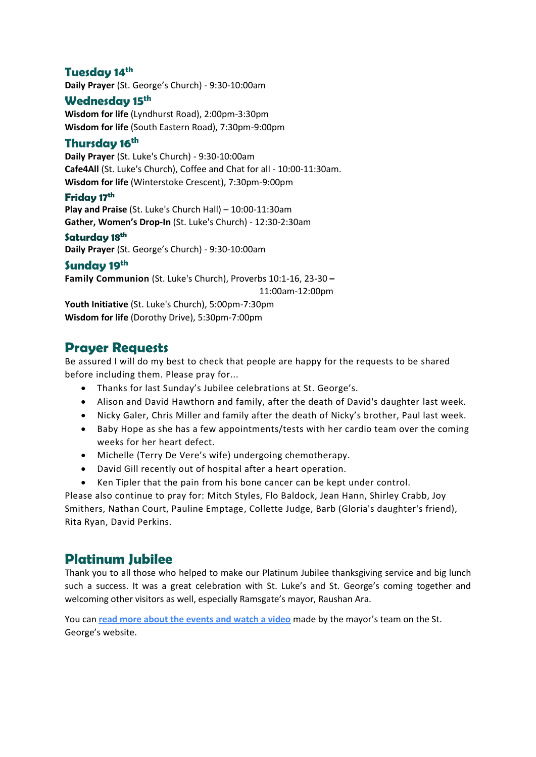### **Tuesday 14th**

**Daily Prayer** (St. George's Church) - 9:30-10:00am

#### **Wednesday 15th**

**Wisdom for life** (Lyndhurst Road), 2:00pm-3:30pm **Wisdom for life** (South Eastern Road), 7:30pm-9:00pm

#### **Thursday 16th**

**Daily Prayer** (St. Luke's Church) - 9:30-10:00am **Cafe4All** (St. Luke's Church), Coffee and Chat for all - 10:00-11:30am. **Wisdom for life** (Winterstoke Crescent), 7:30pm-9:00pm

#### **Friday 17th**

**Play and Praise** (St. Luke's Church Hall) – 10:00-11:30am **Gather, Women's Drop-In** (St. Luke's Church) - 12:30-2:30am

#### **Saturday 18th**

**Daily Prayer** (St. George's Church) - 9:30-10:00am

#### **Sunday 19th**

**Family Communion** (St. Luke's Church), Proverbs 10:1-16, 23-30 **–**

11:00am-12:00pm

**Youth Initiative** (St. Luke's Church), 5:00pm-7:30pm **Wisdom for life** (Dorothy Drive), 5:30pm-7:00pm

### **Prayer Requests**

Be assured I will do my best to check that people are happy for the requests to be shared before including them. Please pray for...

- Thanks for last Sunday's Jubilee celebrations at St. George's.
- Alison and David Hawthorn and family, after the death of David's daughter last week.
- Nicky Galer, Chris Miller and family after the death of Nicky's brother, Paul last week.
- Baby Hope as she has a few appointments/tests with her cardio team over the coming weeks for her heart defect.
- Michelle (Terry De Vere's wife) undergoing chemotherapy.
- David Gill recently out of hospital after a heart operation.
- Ken Tipler that the pain from his bone cancer can be kept under control.

Please also continue to pray for: Mitch Styles, Flo Baldock, Jean Hann, Shirley Crabb, Joy Smithers, Nathan Court, Pauline Emptage, Collette Judge, Barb (Gloria's daughter's friend), Rita Ryan, David Perkins.

## **Platinum Jubilee**

Thank you to all those who helped to make our Platinum Jubilee thanksgiving service and big lunch such a success. It was a great celebration with St. Luke's and St. George's coming together and welcoming other visitors as well, especially Ramsgate's mayor, Raushan Ara.

You can **[read more about the events and watch a video](https://stgeorgechurchramsgate.uk/2022/06/06/platinum-jubilee-celebrations-2/)** made by the mayor's team on the St. George's website.